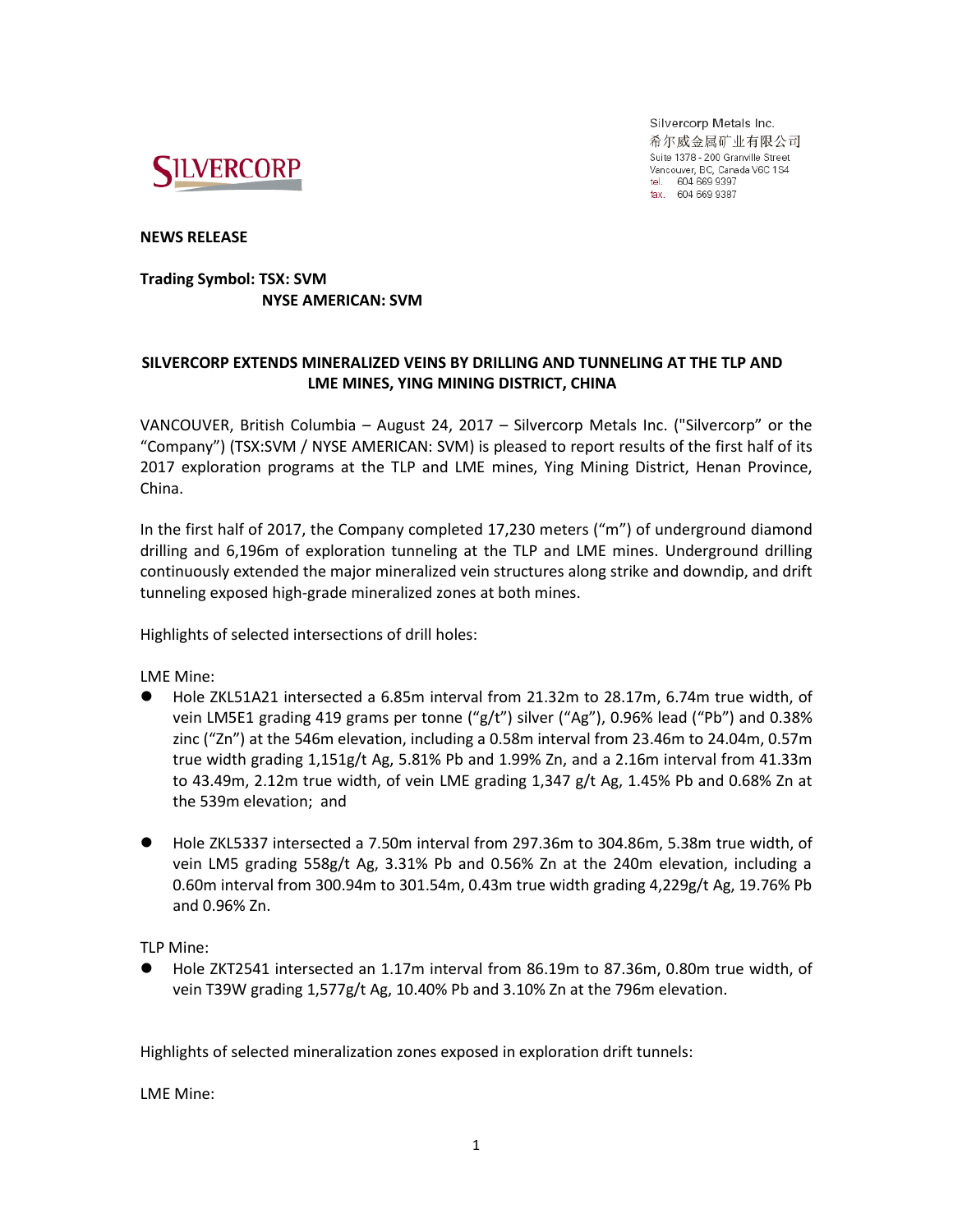

Silvercorp Metals Inc. 希尔威金属矿业有限公司 Suite 1378 - 200 Granville Street Vancouver, BC, Canada V6C 1S4 tel. 604 669 9397<br>fax. 604 669 9397

**NEWS RELEASE**

## **Trading Symbol: TSX: SVM NYSE AMERICAN: SVM**

# **SILVERCORP EXTENDS MINERALIZED VEINS BY DRILLING AND TUNNELING AT THE TLP AND LME MINES, YING MINING DISTRICT, CHINA**

VANCOUVER, British Columbia – August 24, 2017 – Silvercorp Metals Inc. ("Silvercorp" or the "Company") (TSX:SVM / NYSE AMERICAN: SVM) is pleased to report results of the first half of its 2017 exploration programs at the TLP and LME mines, Ying Mining District, Henan Province, China.

In the first half of 2017, the Company completed 17,230 meters ("m") of underground diamond drilling and 6,196m of exploration tunneling at the TLP and LME mines. Underground drilling continuously extended the major mineralized vein structures along strike and downdip, and drift tunneling exposed high-grade mineralized zones at both mines.

Highlights of selected intersections of drill holes:

LME Mine:

- Hole ZKL51A21 intersected a 6.85m interval from 21.32m to 28.17m, 6.74m true width, of vein LM5E1 grading 419 grams per tonne ("g/t") silver ("Ag"), 0.96% lead ("Pb") and 0.38% zinc ("Zn") at the 546m elevation, including a 0.58m interval from 23.46m to 24.04m, 0.57m true width grading 1,151g/t Ag, 5.81% Pb and 1.99% Zn, and a 2.16m interval from 41.33m to 43.49m, 2.12m true width, of vein LME grading 1,347 g/t Ag, 1.45% Pb and 0.68% Zn at the 539m elevation; and
- Hole ZKL5337 intersected a 7.50m interval from 297.36m to 304.86m, 5.38m true width, of vein LM5 grading 558g/t Ag, 3.31% Pb and 0.56% Zn at the 240m elevation, including a 0.60m interval from 300.94m to 301.54m, 0.43m true width grading 4,229g/t Ag, 19.76% Pb and 0.96% Zn.

TLP Mine:

 Hole ZKT2541 intersected an 1.17m interval from 86.19m to 87.36m, 0.80m true width, of vein T39W grading 1,577g/t Ag, 10.40% Pb and 3.10% Zn at the 796m elevation.

Highlights of selected mineralization zones exposed in exploration drift tunnels:

LME Mine: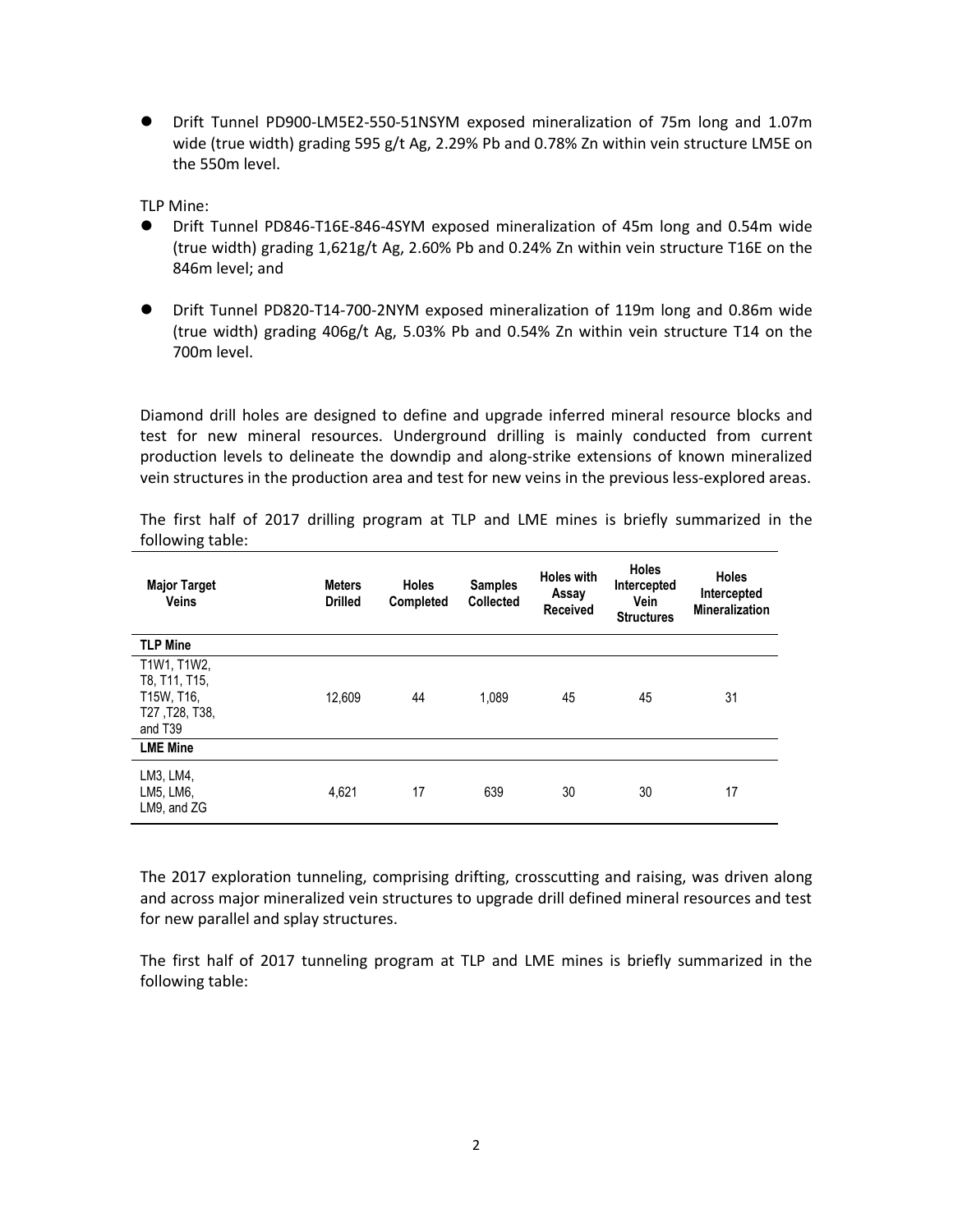Drift Tunnel PD900-LM5E2-550-51NSYM exposed mineralization of 75m long and 1.07m wide (true width) grading 595 g/t Ag, 2.29% Pb and 0.78% Zn within vein structure LM5E on the 550m level.

TLP Mine:

- Drift Tunnel PD846-T16E-846-4SYM exposed mineralization of 45m long and 0.54m wide (true width) grading 1,621g/t Ag, 2.60% Pb and 0.24% Zn within vein structure T16E on the 846m level; and
- Drift Tunnel PD820-T14-700-2NYM exposed mineralization of 119m long and 0.86m wide (true width) grading 406g/t Ag, 5.03% Pb and 0.54% Zn within vein structure T14 on the 700m level.

Diamond drill holes are designed to define and upgrade inferred mineral resource blocks and test for new mineral resources. Underground drilling is mainly conducted from current production levels to delineate the downdip and along-strike extensions of known mineralized vein structures in the production area and test for new veins in the previous less-explored areas.

The first half of 2017 drilling program at TLP and LME mines is briefly summarized in the following table:

| <b>Major Target</b><br><b>Veins</b>                                     | <b>Meters</b><br><b>Drilled</b> | <b>Holes</b><br><b>Completed</b> | <b>Samples</b><br><b>Collected</b> | <b>Holes with</b><br>Assay<br><b>Received</b> | <b>Holes</b><br>Intercepted<br>Vein<br><b>Structures</b> | <b>Holes</b><br>Intercepted<br><b>Mineralization</b> |
|-------------------------------------------------------------------------|---------------------------------|----------------------------------|------------------------------------|-----------------------------------------------|----------------------------------------------------------|------------------------------------------------------|
| <b>TLP Mine</b>                                                         |                                 |                                  |                                    |                                               |                                                          |                                                      |
| T1W1, T1W2,<br>T8, T11, T15,<br>T15W, T16,<br>T27, T28, T38,<br>and T39 | 12.609                          | 44                               | 1.089                              | 45                                            | 45                                                       | 31                                                   |
| <b>LME Mine</b>                                                         |                                 |                                  |                                    |                                               |                                                          |                                                      |
| LM3, LM4,<br>LM5, LM6,<br>LM9, and ZG                                   | 4,621                           | 17                               | 639                                | 30                                            | 30                                                       | 17                                                   |

The 2017 exploration tunneling, comprising drifting, crosscutting and raising, was driven along and across major mineralized vein structures to upgrade drill defined mineral resources and test for new parallel and splay structures.

The first half of 2017 tunneling program at TLP and LME mines is briefly summarized in the following table: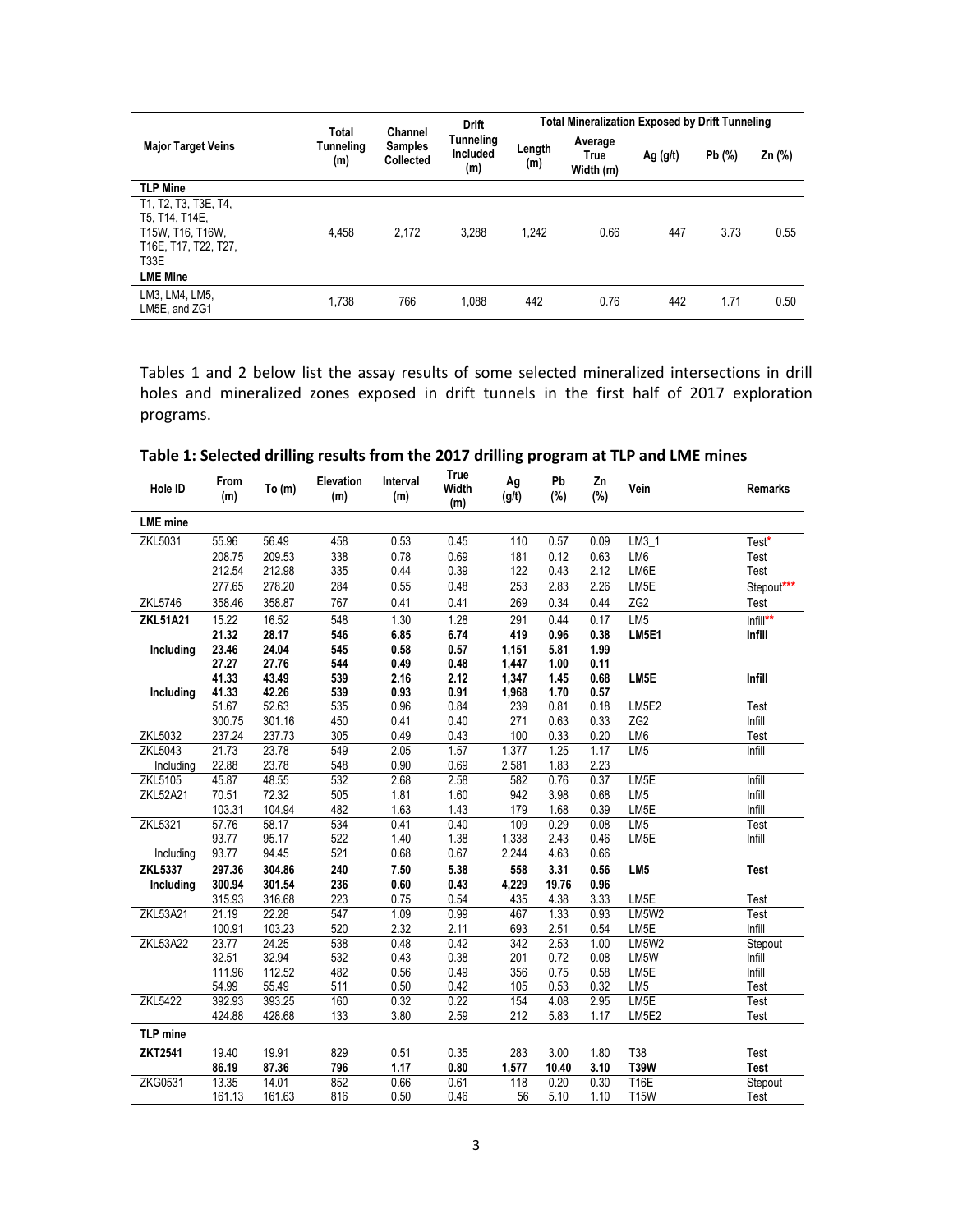|                                                                                            | Total                                                  | Channel | <b>Drift</b>                 | <b>Total Mineralization Exposed by Drift Tunneling</b> |                              |            |        |        |  |  |
|--------------------------------------------------------------------------------------------|--------------------------------------------------------|---------|------------------------------|--------------------------------------------------------|------------------------------|------------|--------|--------|--|--|
| <b>Major Target Veins</b>                                                                  | <b>Tunneling</b><br><b>Samples</b><br>Collected<br>(m) |         | Tunneling<br>Included<br>(m) | Length<br>(m)                                          | Average<br>True<br>Width (m) | Ag $(g/t)$ | Pb (%) | Zn (%) |  |  |
| <b>TLP Mine</b>                                                                            |                                                        |         |                              |                                                        |                              |            |        |        |  |  |
| T1, T2, T3, T3E, T4,<br>T5, T14, T14E,<br>T15W, T16, T16W,<br>T16E, T17, T22, T27,<br>T33E | 4.458                                                  | 2.172   | 3.288                        | 1.242                                                  | 0.66                         | 447        | 3.73   | 0.55   |  |  |
| <b>LME Mine</b>                                                                            |                                                        |         |                              |                                                        |                              |            |        |        |  |  |
| LM3, LM4, LM5,<br>LM5E, and ZG1                                                            | 1,738                                                  | 766     | 1,088                        | 442                                                    | 0.76                         | 442        | 1.71   | 0.50   |  |  |

Tables 1 and 2 below list the assay results of some selected mineralized intersections in drill holes and mineralized zones exposed in drift tunnels in the first half of 2017 exploration programs.

**Table 1: Selected drilling results from the 2017 drilling program at TLP and LME mines**  $\overline{\mathbf{A}}$ g  $\overline{\mathbf{A}}$ **Pb**  $\overline{z}$ 

| Hole ID         | From<br>(m)     | To (m)          | Elevation<br>(m) | Interval<br>(m) | <b>True</b><br>Width<br>(m) | Ag<br>(g/t) | Pb<br>(%)    | Zn<br>(%)    | Vein                    | Remarks          |
|-----------------|-----------------|-----------------|------------------|-----------------|-----------------------------|-------------|--------------|--------------|-------------------------|------------------|
| <b>LME</b> mine |                 |                 |                  |                 |                             |             |              |              |                         |                  |
| ZKL5031         | 55.96           | 56.49           | 458              | 0.53            | 0.45                        | 110         | 0.57         | 0.09         | $LM3_1$                 | Test*            |
|                 | 208.75          | 209.53          | 338              | 0.78            | 0.69                        | 181         | 0.12         | 0.63         | LM6                     | Test             |
|                 | 212.54          | 212.98          | 335              | 0.44            | 0.39                        | 122         | 0.43         | 2.12         | LM6E                    | Test             |
|                 | 277.65          | 278.20          | 284              | 0.55            | 0.48                        | 253         | 2.83         | 2.26         | LM5E                    | Stepout***       |
| <b>ZKL5746</b>  | 358.46          | 358.87          | 767              | 0.41            | 0.41                        | 269         | 0.34         | 0.44         | ZG <sub>2</sub>         | Test             |
| <b>ZKL51A21</b> | 15.22           | 16.52           | 548              | 1.30            | 1.28                        | 291         | 0.44         | 0.17         | LM <sub>5</sub>         | Infill**         |
|                 | 21.32           | 28.17           | 546              | 6.85            | 6.74                        | 419         | 0.96         | 0.38         | LM5E1                   | Infill           |
| Including       | 23.46           | 24.04           | 545              | 0.58            | 0.57                        | 1,151       | 5.81         | 1.99         |                         |                  |
|                 | 27.27           | 27.76           | 544              | 0.49            | 0.48                        | 1,447       | 1.00         | 0.11         |                         |                  |
|                 | 41.33           | 43.49           | 539              | 2.16            | 2.12                        | 1,347       | 1.45         | 0.68         | LM <sub>5E</sub>        | Infill           |
| Including       | 41.33           | 42.26           | 539              | 0.93            | 0.91                        | 1,968       | 1.70         | 0.57         |                         |                  |
|                 | 51.67           | 52.63           | 535              | 0.96            | 0.84                        | 239         | 0.81         | 0.18         | LM5E2                   | Test             |
|                 | 300.75          | 301.16          | 450              | 0.41            | 0.40                        | 271         | 0.63         | 0.33         | ZG <sub>2</sub>         | Infill           |
| ZKL5032         | 237.24          | 237.73          | 305              | 0.49            | 0.43                        | 100         | 0.33         | 0.20         | LM6                     | Test             |
| <b>ZKL5043</b>  | 21.73           | 23.78           | 549              | 2.05            | 1.57                        | 1,377       | 1.25         | 1.17         | LM <sub>5</sub>         | Infill           |
| Including       | 22.88           | 23.78           | 548              | 0.90            | 0.69                        | 2,581       | 1.83         | 2.23         |                         |                  |
| <b>ZKL5105</b>  | 45.87           | 48.55           | 532              | 2.68            | 2.58                        | 582         | 0.76         | 0.37         | LM5E                    | Infill           |
| <b>ZKL52A21</b> | 70.51<br>103.31 | 72.32<br>104.94 | 505<br>482       | 1.81<br>1.63    | 1.60<br>1.43                | 942<br>179  | 3.98<br>1.68 | 0.68<br>0.39 | LM <sub>5</sub><br>LM5E | Infill<br>Infill |
| <b>ZKL5321</b>  | 57.76           | 58.17           | 534              | 0.41            | 0.40                        | 109         | 0.29         | 0.08         | LM <sub>5</sub>         | Test             |
|                 | 93.77           | 95.17           | 522              | 1.40            | 1.38                        | 1,338       | 2.43         | 0.46         | LM5E                    | Infill           |
| Including       | 93.77           | 94.45           | 521              | 0.68            | 0.67                        | 2,244       | 4.63         | 0.66         |                         |                  |
| <b>ZKL5337</b>  | 297.36          | 304.86          | 240              | 7.50            | 5.38                        | 558         | 3.31         | 0.56         | LM <sub>5</sub>         | <b>Test</b>      |
| Including       | 300.94          | 301.54          | 236              | 0.60            | 0.43                        | 4,229       | 19.76        | 0.96         |                         |                  |
|                 | 315.93          | 316.68          | 223              | 0.75            | 0.54                        | 435         | 4.38         | 3.33         | LM5E                    | Test             |
| <b>ZKL53A21</b> | 21.19           | 22.28           | 547              | 1.09            | 0.99                        | 467         | 1.33         | 0.93         | LM5W2                   | Test             |
|                 | 100.91          | 103.23          | 520              | 2.32            | 2.11                        | 693         | 2.51         | 0.54         | LM <sub>5</sub> E       | Infill           |
| <b>ZKL53A22</b> | 23.77           | 24.25           | 538              | 0.48            | 0.42                        | 342         | 2.53         | 1.00         | LM5W2                   | Stepout          |
|                 | 32.51           | 32.94           | 532              | 0.43            | 0.38                        | 201         | 0.72         | 0.08         | LM5W                    | Infill           |
|                 | 111.96          | 112.52          | 482              | 0.56            | 0.49                        | 356         | 0.75         | 0.58         | LM5E                    | Infill           |
|                 | 54.99           | 55.49           | 511              | 0.50            | 0.42                        | 105         | 0.53         | 0.32         | LM <sub>5</sub>         | Test             |
| <b>ZKL5422</b>  | 392.93          | 393.25          | 160              | 0.32            | 0.22                        | 154         | 4.08         | 2.95         | LM5E                    | Test             |
|                 | 424.88          | 428.68          | 133              | 3.80            | 2.59                        | 212         | 5.83         | 1.17         | LM5E2                   | Test             |
| <b>TLP</b> mine |                 |                 |                  |                 |                             |             |              |              |                         |                  |
| <b>ZKT2541</b>  | 19.40           | 19.91           | 829              | 0.51            | 0.35                        | 283         | 3.00         | 1.80         | T38                     | Test             |
|                 | 86.19           | 87.36           | 796              | 1.17            | 0.80                        | 1,577       | 10.40        | 3.10         | <b>T39W</b>             | <b>Test</b>      |
| <b>ZKG0531</b>  | 13.35           | 14.01           | 852              | 0.66            | 0.61                        | 118         | 0.20         | 0.30         | <b>T16E</b>             | Stepout          |
|                 | 161.13          | 161.63          | 816              | 0.50            | 0.46                        | 56          | 5.10         | 1.10         | <b>T15W</b>             | Test             |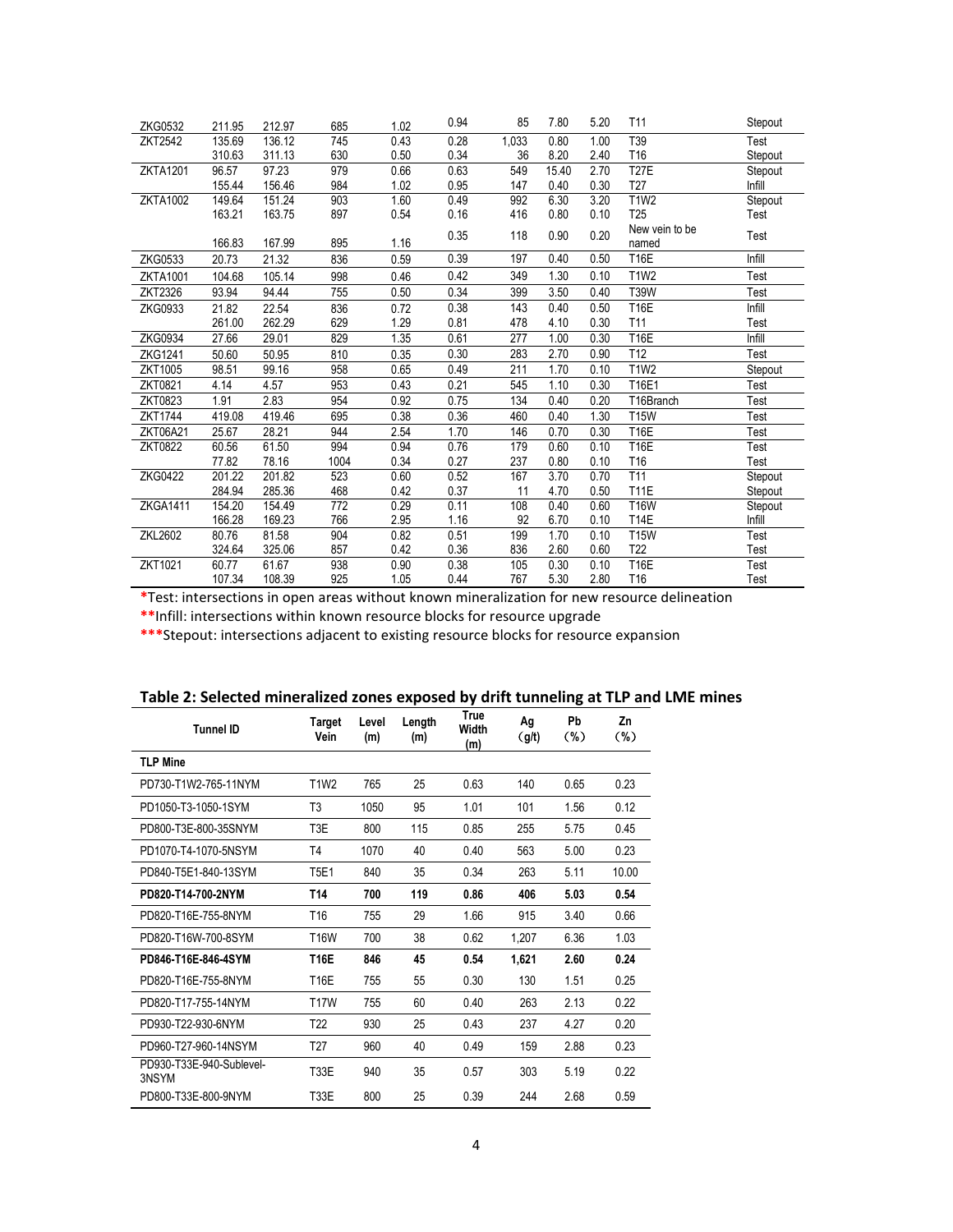| <b>ZKG0532</b>  | 211.95 | 212.97 | 685  | 1.02 | 0.94 | 85    | 7.80  | 5.20 | T <sub>11</sub> | Stepout |
|-----------------|--------|--------|------|------|------|-------|-------|------|-----------------|---------|
| <b>ZKT2542</b>  | 135.69 | 136.12 | 745  | 0.43 | 0.28 | 1,033 | 0.80  | 1.00 | T39             | Test    |
|                 | 310.63 | 311.13 | 630  | 0.50 | 0.34 | 36    | 8.20  | 2.40 | T <sub>16</sub> | Stepout |
| <b>ZKTA1201</b> | 96.57  | 97.23  | 979  | 0.66 | 0.63 | 549   | 15.40 | 2.70 | <b>T27E</b>     | Stepout |
|                 | 155.44 | 156.46 | 984  | 1.02 | 0.95 | 147   | 0.40  | 0.30 | T27             | Infill  |
| <b>ZKTA1002</b> | 149.64 | 151.24 | 903  | 1.60 | 0.49 | 992   | 6.30  | 3.20 | <b>T1W2</b>     | Stepout |
|                 | 163.21 | 163.75 | 897  | 0.54 | 0.16 | 416   | 0.80  | 0.10 | T <sub>25</sub> | Test    |
|                 |        |        |      |      | 0.35 | 118   | 0.90  | 0.20 | New vein to be  | Test    |
|                 | 166.83 | 167.99 | 895  | 1.16 |      |       |       |      | named           |         |
| <b>ZKG0533</b>  | 20.73  | 21.32  | 836  | 0.59 | 0.39 | 197   | 0.40  | 0.50 | <b>T16E</b>     | Infill  |
| <b>ZKTA1001</b> | 104.68 | 105.14 | 998  | 0.46 | 0.42 | 349   | 1.30  | 0.10 | <b>T1W2</b>     | Test    |
| <b>ZKT2326</b>  | 93.94  | 94.44  | 755  | 0.50 | 0.34 | 399   | 3.50  | 0.40 | <b>T39W</b>     | Test    |
| ZKG0933         | 21.82  | 22.54  | 836  | 0.72 | 0.38 | 143   | 0.40  | 0.50 | <b>T16E</b>     | Infill  |
|                 | 261.00 | 262.29 | 629  | 1.29 | 0.81 | 478   | 4.10  | 0.30 | T <sub>11</sub> | Test    |
| <b>ZKG0934</b>  | 27.66  | 29.01  | 829  | 1.35 | 0.61 | 277   | 1.00  | 0.30 | <b>T16E</b>     | Infill  |
| <b>ZKG1241</b>  | 50.60  | 50.95  | 810  | 0.35 | 0.30 | 283   | 2.70  | 0.90 | T12             | Test    |
| <b>ZKT1005</b>  | 98.51  | 99.16  | 958  | 0.65 | 0.49 | 211   | 1.70  | 0.10 | <b>T1W2</b>     | Stepout |
| ZKT0821         | 4.14   | 4.57   | 953  | 0.43 | 0.21 | 545   | 1.10  | 0.30 | T16E1           | Test    |
| <b>ZKT0823</b>  | 1.91   | 2.83   | 954  | 0.92 | 0.75 | 134   | 0.40  | 0.20 | T16Branch       | Test    |
| ZKT1744         | 419.08 | 419.46 | 695  | 0.38 | 0.36 | 460   | 0.40  | 1.30 | <b>T15W</b>     | Test    |
| ZKT06A21        | 25.67  | 28.21  | 944  | 2.54 | 1.70 | 146   | 0.70  | 0.30 | <b>T16E</b>     | Test    |
| <b>ZKT0822</b>  | 60.56  | 61.50  | 994  | 0.94 | 0.76 | 179   | 0.60  | 0.10 | <b>T16E</b>     | Test    |
|                 | 77.82  | 78.16  | 1004 | 0.34 | 0.27 | 237   | 0.80  | 0.10 | T16             | Test    |
| <b>ZKG0422</b>  | 201.22 | 201.82 | 523  | 0.60 | 0.52 | 167   | 3.70  | 0.70 | T11             | Stepout |
|                 | 284.94 | 285.36 | 468  | 0.42 | 0.37 | 11    | 4.70  | 0.50 | <b>T11E</b>     | Stepout |
| <b>ZKGA1411</b> | 154.20 | 154.49 | 772  | 0.29 | 0.11 | 108   | 0.40  | 0.60 | <b>T16W</b>     | Stepout |
|                 | 166.28 | 169.23 | 766  | 2.95 | 1.16 | 92    | 6.70  | 0.10 | <b>T14E</b>     | Infill  |
| <b>ZKL2602</b>  | 80.76  | 81.58  | 904  | 0.82 | 0.51 | 199   | 1.70  | 0.10 | <b>T15W</b>     | Test    |
|                 | 324.64 | 325.06 | 857  | 0.42 | 0.36 | 836   | 2.60  | 0.60 | T <sub>22</sub> | Test    |
| ZKT1021         | 60.77  | 61.67  | 938  | 0.90 | 0.38 | 105   | 0.30  | 0.10 | <b>T16E</b>     | Test    |
|                 | 107.34 | 108.39 | 925  | 1.05 | 0.44 | 767   | 5.30  | 2.80 | T16             | Test    |

**\***Test: intersections in open areas without known mineralization for new resource delineation

**\*\***Infill: intersections within known resource blocks for resource upgrade

**\*\*\***Stepout: intersections adjacent to existing resource blocks for resource expansion

| <b>Tunnel ID</b>                  | Target<br>Vein  | Level<br>(m) | Length<br>(m) | <b>True</b><br>Width<br>(m) | Ag<br>(g/t) | Pb<br>$($ %) | Zn<br>( %) |
|-----------------------------------|-----------------|--------------|---------------|-----------------------------|-------------|--------------|------------|
| <b>TLP Mine</b>                   |                 |              |               |                             |             |              |            |
| PD730-T1W2-765-11NYM              | <b>T1W2</b>     | 765          | 25            | 0.63                        | 140         | 0.65         | 0.23       |
| PD1050-T3-1050-1SYM               | T <sub>3</sub>  | 1050         | 95            | 1.01                        | 101         | 1.56         | 0.12       |
| PD800-T3E-800-35SNYM              | T3E             | 800          | 115           | 0.85                        | 255         | 5.75         | 0.45       |
| PD1070-T4-1070-5NSYM              | T <sub>4</sub>  | 1070         | 40            | 0.40                        | 563         | 5.00         | 0.23       |
| PD840-T5E1-840-13SYM              | <b>T5E1</b>     | 840          | 35            | 0.34                        | 263         | 5.11         | 10.00      |
| PD820-T14-700-2NYM                | T <sub>14</sub> | 700          | 119           | 0.86                        | 406         | 5.03         | 0.54       |
| PD820-T16E-755-8NYM               | T <sub>16</sub> | 755          | 29            | 1.66                        | 915         | 3.40         | 0.66       |
| PD820-T16W-700-8SYM               | <b>T16W</b>     | 700          | 38            | 0.62                        | 1,207       | 6.36         | 1.03       |
| PD846-T16E-846-4SYM               | <b>T16E</b>     | 846          | 45            | 0.54                        | 1,621       | 2.60         | 0.24       |
| PD820-T16E-755-8NYM               | <b>T16E</b>     | 755          | 55            | 0.30                        | 130         | 1.51         | 0.25       |
| PD820-T17-755-14NYM               | <b>T17W</b>     | 755          | 60            | 0.40                        | 263         | 2.13         | 0.22       |
| PD930-T22-930-6NYM                | T <sub>22</sub> | 930          | 25            | 0.43                        | 237         | 4.27         | 0.20       |
| PD960-T27-960-14NSYM              | T <sub>27</sub> | 960          | 40            | 0.49                        | 159         | 2.88         | 0.23       |
| PD930-T33E-940-Sublevel-<br>3NSYM | <b>T33E</b>     | 940          | 35            | 0.57                        | 303         | 5.19         | 0.22       |
| PD800-T33E-800-9NYM               | <b>T33E</b>     | 800          | 25            | 0.39                        | 244         | 2.68         | 0.59       |

|  |  | Table 2: Selected mineralized zones exposed by drift tunneling at TLP and LME mines |
|--|--|-------------------------------------------------------------------------------------|
|--|--|-------------------------------------------------------------------------------------|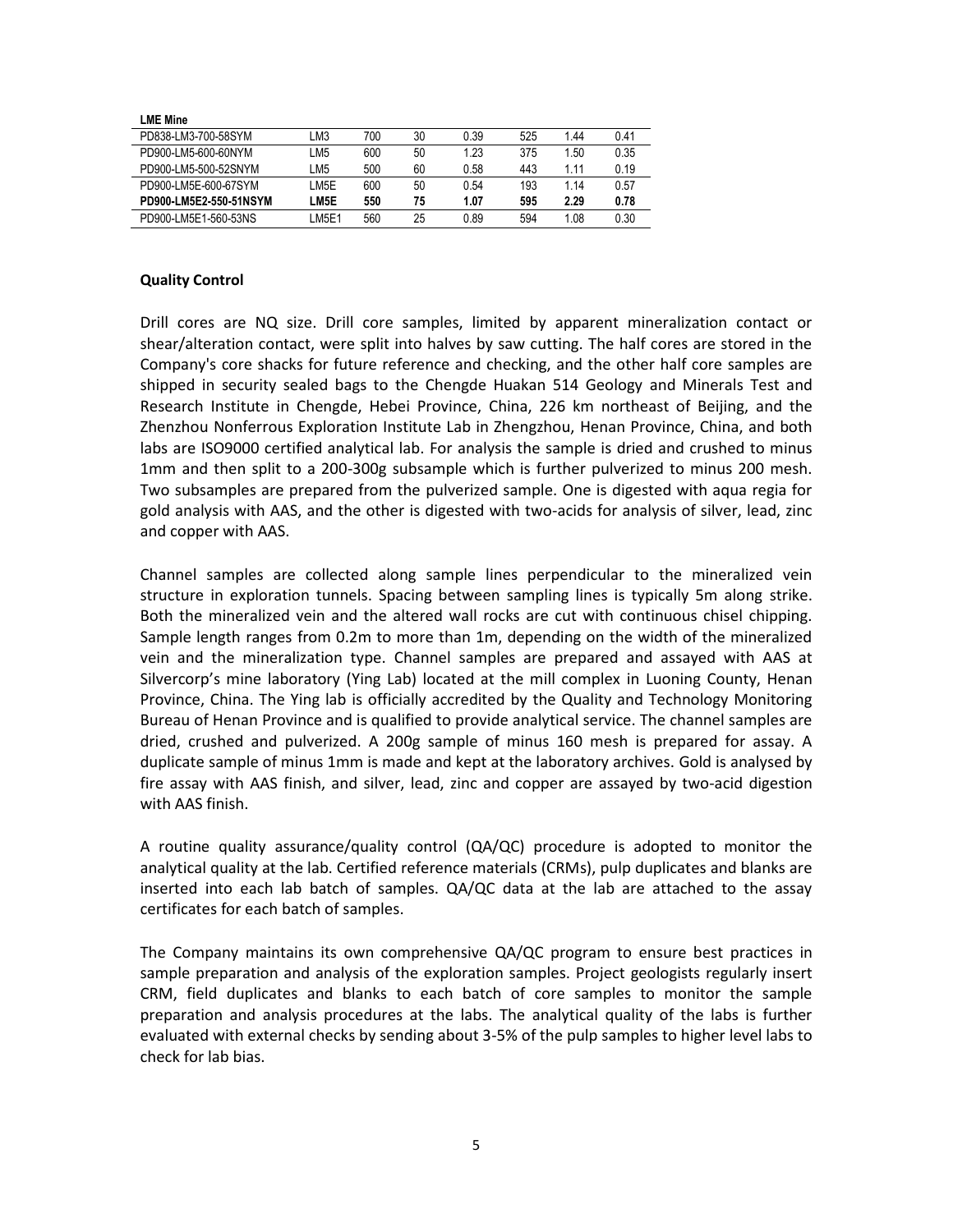| LME Mine               |       |     |    |      |     |      |      |
|------------------------|-------|-----|----|------|-----|------|------|
| PD838-LM3-700-58SYM    | LM3   | 700 | 30 | 0.39 | 525 | 1.44 | 0.41 |
| PD900-LM5-600-60NYM    | LM5   | 600 | 50 | 1.23 | 375 | 1.50 | 0.35 |
| PD900-LM5-500-52SNYM   | LM5   | 500 | 60 | 0.58 | 443 | 1.11 | 0.19 |
| PD900-LM5E-600-67SYM   | LM5E  | 600 | 50 | 0.54 | 193 | 1 14 | 0.57 |
| PD900-LM5E2-550-51NSYM | LM5E  | 550 | 75 | 1.07 | 595 | 2.29 | 0.78 |
| PD900-LM5E1-560-53NS   | LM5E1 | 560 | 25 | 0.89 | 594 | 1.08 | 0.30 |

#### **Quality Control**

Drill cores are NQ size. Drill core samples, limited by apparent mineralization contact or shear/alteration contact, were split into halves by saw cutting. The half cores are stored in the Company's core shacks for future reference and checking, and the other half core samples are shipped in security sealed bags to the Chengde Huakan 514 Geology and Minerals Test and Research Institute in Chengde, Hebei Province, China, 226 km northeast of Beijing, and the Zhenzhou Nonferrous Exploration Institute Lab in Zhengzhou, Henan Province, China, and both labs are ISO9000 certified analytical lab. For analysis the sample is dried and crushed to minus 1mm and then split to a 200-300g subsample which is further pulverized to minus 200 mesh. Two subsamples are prepared from the pulverized sample. One is digested with aqua regia for gold analysis with AAS, and the other is digested with two-acids for analysis of silver, lead, zinc and copper with AAS.

Channel samples are collected along sample lines perpendicular to the mineralized vein structure in exploration tunnels. Spacing between sampling lines is typically 5m along strike. Both the mineralized vein and the altered wall rocks are cut with continuous chisel chipping. Sample length ranges from 0.2m to more than 1m, depending on the width of the mineralized vein and the mineralization type. Channel samples are prepared and assayed with AAS at Silvercorp's mine laboratory (Ying Lab) located at the mill complex in Luoning County, Henan Province, China. The Ying lab is officially accredited by the Quality and Technology Monitoring Bureau of Henan Province and is qualified to provide analytical service. The channel samples are dried, crushed and pulverized. A 200g sample of minus 160 mesh is prepared for assay. A duplicate sample of minus 1mm is made and kept at the laboratory archives. Gold is analysed by fire assay with AAS finish, and silver, lead, zinc and copper are assayed by two-acid digestion with AAS finish.

A routine quality assurance/quality control (QA/QC) procedure is adopted to monitor the analytical quality at the lab. Certified reference materials (CRMs), pulp duplicates and blanks are inserted into each lab batch of samples. QA/QC data at the lab are attached to the assay certificates for each batch of samples.

The Company maintains its own comprehensive QA/QC program to ensure best practices in sample preparation and analysis of the exploration samples. Project geologists regularly insert CRM, field duplicates and blanks to each batch of core samples to monitor the sample preparation and analysis procedures at the labs. The analytical quality of the labs is further evaluated with external checks by sending about 3-5% of the pulp samples to higher level labs to check for lab bias.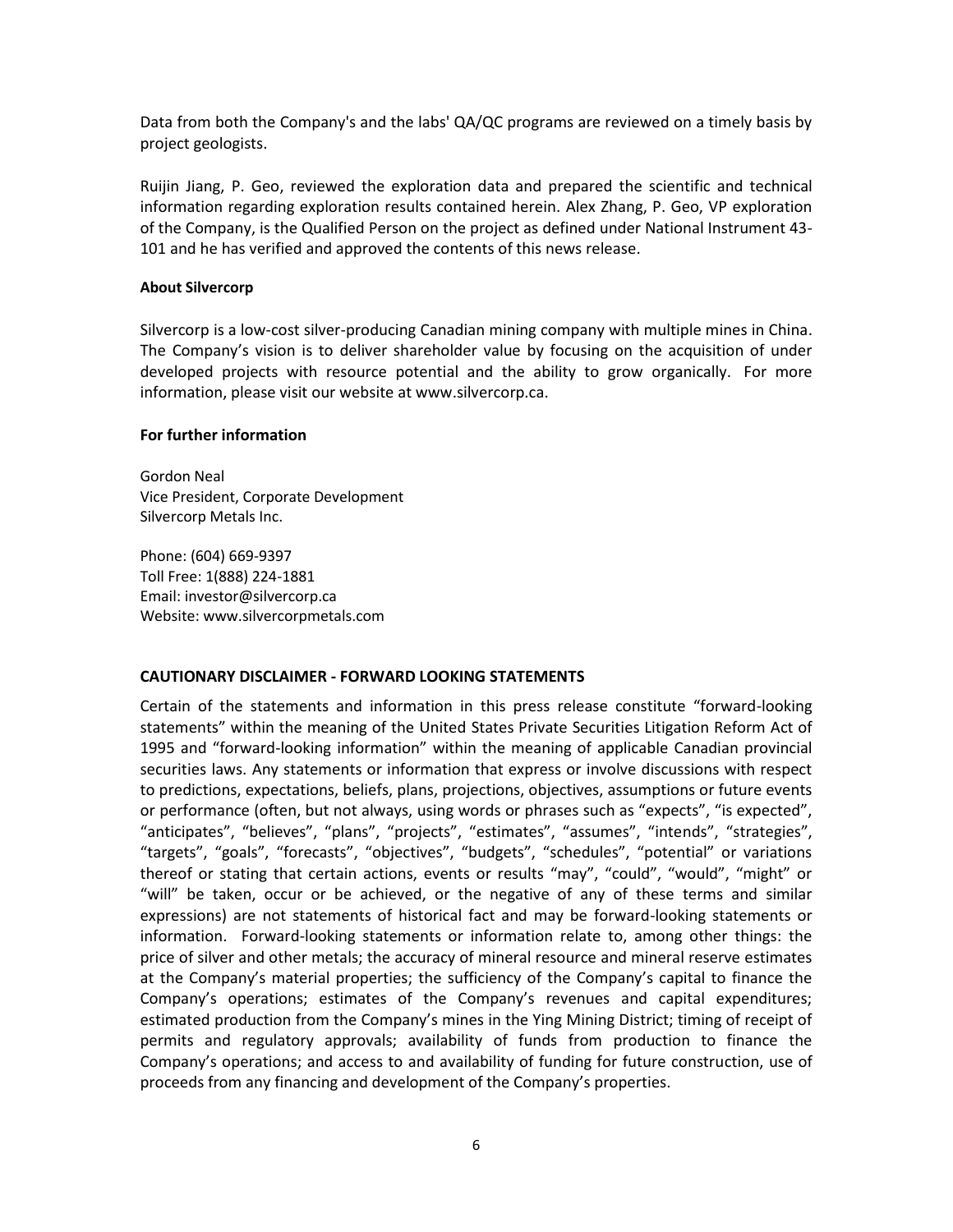Data from both the Company's and the labs' QA/QC programs are reviewed on a timely basis by project geologists.

Ruijin Jiang, P. Geo, reviewed the exploration data and prepared the scientific and technical information regarding exploration results contained herein. Alex Zhang, P. Geo, VP exploration of the Company, is the Qualified Person on the project as defined under National Instrument 43- 101 and he has verified and approved the contents of this news release.

### **About Silvercorp**

Silvercorp is a low-cost silver-producing Canadian mining company with multiple mines in China. The Company's vision is to deliver shareholder value by focusing on the acquisition of under developed projects with resource potential and the ability to grow organically. For more information, please visit our website at www.silvercorp.ca.

### **For further information**

Gordon Neal Vice President, Corporate Development Silvercorp Metals Inc.

Phone: (604) 669-9397 Toll Free: 1(888) 224-1881 Email: investor@silvercorp.ca Website: www.silvercorpmetals.com

#### **CAUTIONARY DISCLAIMER - FORWARD LOOKING STATEMENTS**

Certain of the statements and information in this press release constitute "forward-looking statements" within the meaning of the United States Private Securities Litigation Reform Act of 1995 and "forward-looking information" within the meaning of applicable Canadian provincial securities laws. Any statements or information that express or involve discussions with respect to predictions, expectations, beliefs, plans, projections, objectives, assumptions or future events or performance (often, but not always, using words or phrases such as "expects", "is expected", "anticipates", "believes", "plans", "projects", "estimates", "assumes", "intends", "strategies", "targets", "goals", "forecasts", "objectives", "budgets", "schedules", "potential" or variations thereof or stating that certain actions, events or results "may", "could", "would", "might" or "will" be taken, occur or be achieved, or the negative of any of these terms and similar expressions) are not statements of historical fact and may be forward-looking statements or information. Forward-looking statements or information relate to, among other things: the price of silver and other metals; the accuracy of mineral resource and mineral reserve estimates at the Company's material properties; the sufficiency of the Company's capital to finance the Company's operations; estimates of the Company's revenues and capital expenditures; estimated production from the Company's mines in the Ying Mining District; timing of receipt of permits and regulatory approvals; availability of funds from production to finance the Company's operations; and access to and availability of funding for future construction, use of proceeds from any financing and development of the Company's properties.